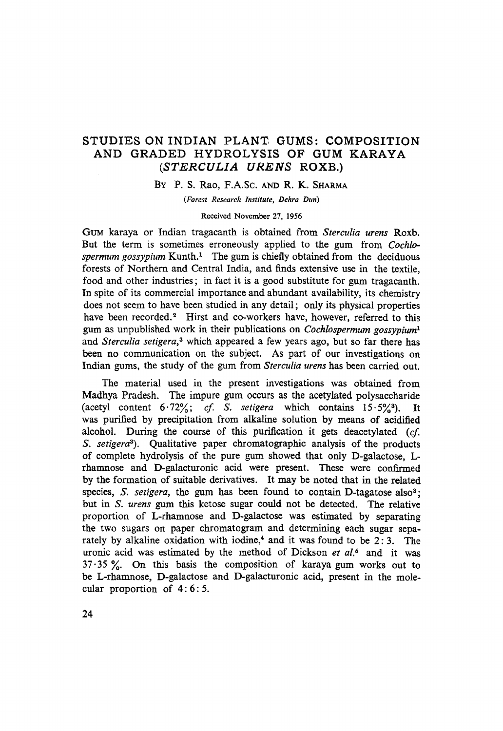## STUDIES ON INDIAN PLANT GUMS: COMPOSITION AND GRADED HYDROLYSIS OF GUM KARAYA *(STERCULIA URENS* ROXB.)

BY P. S. Rao, F.A.Sc. AND R. K. SHARMA

*(Forest Research Institute, Dehra Dun)* 

#### Received November 27, 1956

GUM karaya or Indian tragacanth is obtained from *Sterculia urens* Roxb. But the term is sometimes erroneously applied to the gum from *Cochlospermum gossypium* Kunth.<sup>1</sup> The gum is chiefly obtained from the deciduous forests of Northern and Central India, and finds extensive use in the textile, food and other industries; in fact it is a good substitute for gum tragacanth. In spite of its commercial importance and abundant availability, its chemistry does not seem to have been studied in any detail; only its physical properties have been recorded.<sup>2</sup> Hirst and co-workers have, however, referred to this gum as unpublished work in their publications on *Cochlospermum gossypium 1*  and *Sterculia setigera*,<sup>3</sup> which appeared a few years ago, but so far there has been no communication on the subject. As part of our investigations on Indian gums, the study of the gum from *Sterculia urens* has been carried out.

The material used in the present investigations was obtained from Madhya Pradesh. The impure gum occurs as the acetylated polysaccharide (acetyl content  $6.72\%$ ; *cf.* S. setigera which contains  $15.5\%$ <sup>3</sup>). It was purified by precipitation from alkaline solution by means of acidified alcohol. During the course of this purification it gets deacetylated (cf. *S. setigera3).* Qualitative paper chromatographic analysis of the products of complete hydrolysis of the pure gum showed that only D-galactose, Lrhamnose and D-galacturonic acid were present. These were confirmed by the formation of suitable derivatives. It may be noted that in the related species, *S. setigera*, the gum has been found to contain D-tagatose also<sup>3</sup>; but in *S. urens* gum this ketose sugar could not be detected. The relative proportion of L-rhamnose and D-galactose was estimated by separating the two sugars on paper chromatogram and determining each sugar separately by alkaline oxidation with iodine,<sup>4</sup> and it was found to be  $2:3$ . The uronic acid was estimated by the method of Dickson et al.<sup>5</sup> and it was  $37.35$ %. On this basis the composition of karaya gum works out to be L-rhamnose, D-galactose and D-galacturonic acid, present in the molecular proportion of 4: 6: 5.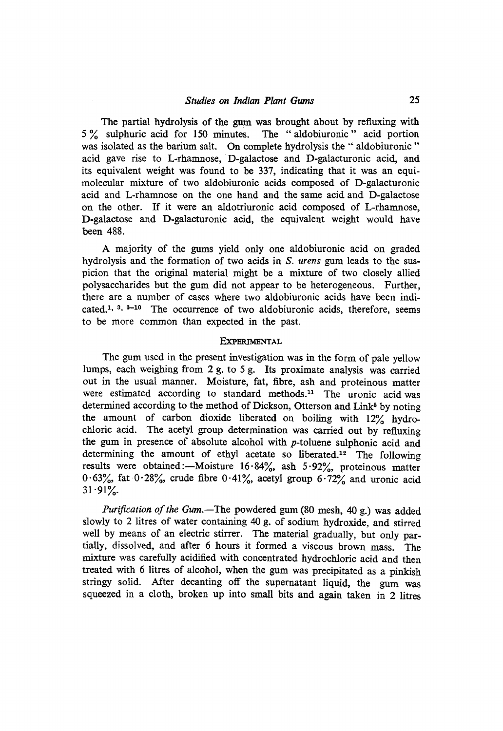The partial hydrolysis of the gum was brought about by refluxing with 5 % sulphuric acid for 150 minutes. The "aldobiuronic" acid portion was isolated as the barium salt. On complete hydrolysis the "aldobiuronic" acid gave rise to L-rhamnose, D-galactose and D-galacturonic acid, and its equivalent weight was found to be 337, indicating that ir was an equimolecular mixture of two aldobiuronic acids eomposed of D-galacturonic acid and L-rhamnose on the one hand and the same acid and D-galactose on the other. If it were ah aldotriuronic acid composed of L-rhamnose, D-galactose and D-galacturonic acid, the equivalent weight would have been 488.

A majority of the gums yield only one aldobiuronic acid on graded hydrolysis and the formation of two acids in *S. urens* gum leads to the suspicion that the original material might be a mixture of two closely allied polysaccharides but the gum did not appear to be heterogeneous. Further, there are a number of cases where two aldobiuronic acids have been indicated.<sup>1, 3, 6-10</sup> The occurrence of two aldobiuronic acids, therefore, seems to be more common than expected in the past.

### **EXPERIMENTAL**

The gum used in the present investigation was in the form of pale yellow lumps, each weighing from 2 g. to 5 g. Its proximate analysis was carried out in the usual manner. Moisture, fat, fibre, ash and proteinous matter were estimated according to standard methods.<sup>11</sup> The uronic acid was determined according to the method of Dickson, Otterson and Link<sup>5</sup> by noting the amount of carbon dioxide liberated on boiling with 12% hydrochloric acid. The acetyl group determination was carried out by refluxing the gum in presence of absolute alcohol with p-toluene sulphonic acid and determining the amount of ethyl acetate so liberated.<sup>12</sup> The following results were obtained:-Moisture  $16.84\%$ , ash  $5.92\%$ , proteinous matter  $0.63%$ , fat  $0.28%$ , crude fibre  $0.41%$ , acetyl group  $6.72%$  and uronic acid  $31.91%$ 

*Purification of the Gum.--The* powdered gum (80 mesh, 40 g.) was added slowly to 2 litres of water containing 40 g. of sodiurn hydroxide, and stirred well by means of an electric stirrer. The material gradually, but only partiaUy, dissolved, and after 6 hours it formed a viscous brown mass. The mixture was carefully acidified with concentrated hydrochloric acid and then treated with 6 litres of alcohol, when the gum was precipitated as a pinkish stringy solid. After decanting off the supernatant liquid, the gum was squeezed in a cloth, broken up into small bits and again taken in 2 litres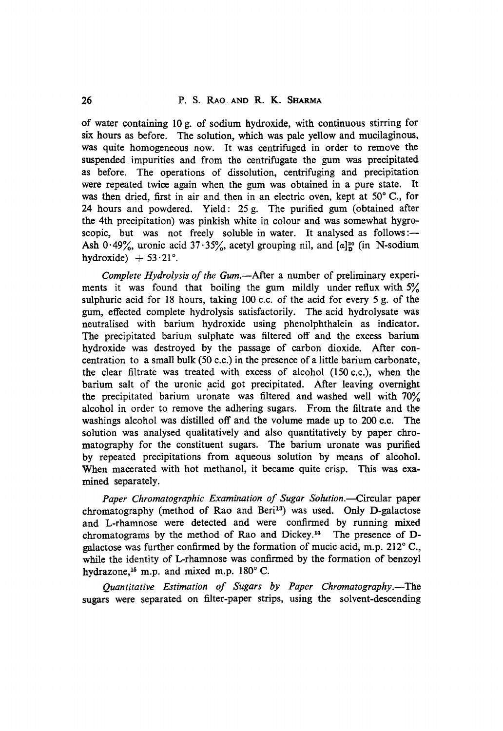of water containing 10 g. of sodium hydroxide, with continuous stirring for six hours as before. The solution, which was pale yellow and mucilaginous, was quite homogeneous now. It was centrifuged in order to remove the suspended impurities and from the centrifugate the gum was precipitated as before. The operations of dissolution, centrifuging and precipitation were repeated twice again when the gum was obtained in a pure state. It was then dried, first in air and then in an electric oven, kept at  $50^{\circ}$  C., for 24 hours and powdered. Yield: 25 g. The purified gum (obtained after the 4th precipitation) was pinkish white in colour and was somewhat hygroscopic, but was not freely soluble in water. It analysed as follows :-Ash  $0.49\%$ , uronic acid  $37.35\%$ , acetyl grouping nil, and  $\lceil \alpha \rceil^2$  (in N-sodium hydroxide)  $+ 53.21$ °.

*Complete Hydrolysis of the Gum.*--After a number of preliminary experiments it was found that boiling the gum mildly under reflux with  $5\%$ sulphuric acid for 18 hours, taking  $100$  c.c. of the acid for every 5 g. of the gum, effected complete hydrolysis satisfactorily. The acid hydrolysate was neutralised with barium hydroxide using phenolphthalein as indicator. The precipitated barium sulphate was filtered off and the excess barium hydroxide was destroyed by the passage of carbon dioxide. After concentration to a small bulk (50 c.c.) in the presence of a little barium carbonate, the clear filtrate was treated with excess of alcohol  $(150 c.c.)$ , when the barium salt of the uronic acid got precipitated. After leaving overnight the precipitated barium uronate was filtered and washed well with  $70\%$ alcohol in order to remove the adhering sugars. From the filtrate and the washings alcohol was distilled off and the volume made up to 200 c.c. The solution was analysed qualitatively and also quantitatively by paper chromatography for the constituent sugars. The barium uronate was purified by repeated precipitations from aqueous solution by means of alcohol. When macerated with hot methanol, it became quite crisp. This was examined separately.

Paper Chromatographic Examination of Sugar Solution.--Circular paper chromatography (method of Rao and Beri<sup>13</sup>) was used. Only D-galactose and L-rhamnose were detected and were confirmed by running mixed chromatograms by the method of Rao and Dickey. 14 The presence of Dgalactose was further confirmed by the formation of mucic acid, m.p.  $212^{\circ}$  C., while the identity of L-rhamnose was confirmed by the formation of benzoyl hydrazone, $15$  m.p. and mixed m.p.  $180^\circ$  C.

Quantitative Estimation of Sugars by Paper Chromatography.-The sugars were separated on filter-paper strips, using the solvent-descending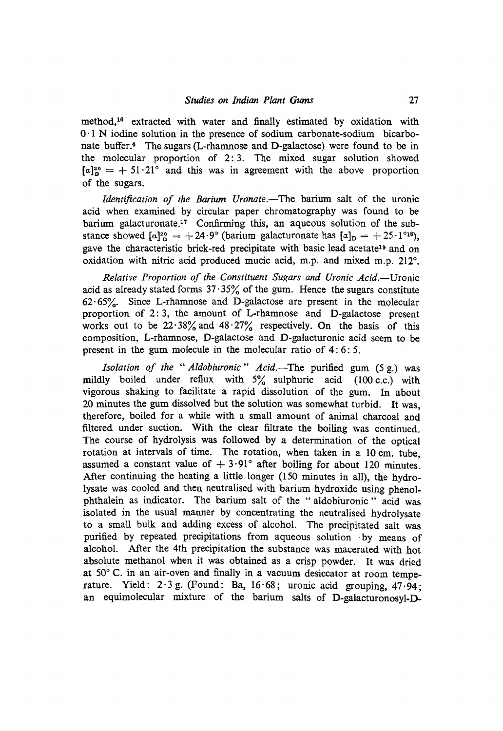method,<sup>16</sup> extracted with water and finally estimated by oxidation with 0-1 N iodine solution in the presence of sodium carbonate-sodium bicarbonate buffer.<sup>4</sup> The sugars (L-rhamnose and D-galactose) were found to be in the molecular proportion of 2: 3. The mixed sugar solution showed  $[a]_p^{20} = + 51.21^\circ$  and this was in agreement with the above proportion of the sugars.

*Identification of the Barium Uronate.*-The barium salt of the uronic acid when examined by circular paper chromatography was found to be barium galacturonate.<sup>17</sup> Confirming this, an aqueous solution of the substance showed  $[a]_{D}^{20} = +24.9^{\circ}$  (barium galacturonate has  $[a]_{D} = +25.1^{\circ}1^{\circ}$ ), gave the characteristic brick-red precipitate with basic lead acetate<sup>19</sup> and on oxidation with nitric acid produced mucic acid, m.p. and mixed m.p.  $212^{\circ}$ .

*Relative Proportion of the Constituent Sugars and Uronic Acid.*—Uronic acid as already stated forms  $37.35\%$  of the gum. Hence the sugars constitute  $62.65%$ . Since L-rhamnose and D-galactose are present in the molecular proportion of 2: 3, the amount of L-rhamnose and D-galactose present works out to be  $22.38\%$  and  $48.27\%$  respectively. On the basis of this composition, L-rhamnose, D-galactose and D-galacturonic acid seem to be present in the gum molecule in the molecular ratio of 4: 6: 5.

*Isolation of the " Aldobiuronic" Acid.--The* purified gum (5 g.) was mildly boiled under reflux with  $5\%$  sulphuric acid (100 c.c.) with vigorous shaking to facilitate a rapid dissolution of the gum. In about 20 minutes the gum dissolved but the solution was somewhat turbid. Ir was, therefore, boiled for a while with a small amount of animal charcoal and filtered under suction. With the clear filtrate the boiling was continued. The course of hydrolysis was followed by a determination of the optical rotation at intervals of time. The rotation, when taken in a 10 cm. tube, assumed a constant value of  $+3.91^{\circ}$  after boiling for about 120 minutes. After continuing the heating a little longer (150 minutes in all), the hydrolysate was cooled and then neutralised with barium hydroxide using phenolphthalein as indicator. The barium salt of the " aldobiuronic " acid was isolated in the usual manner by concentrating the neutralised hydrolysate to a smaU bulk and adding excess of alcohol. The precipitated salt was purified by repeated precipitations from aqueous solution by means of alcohol. After the 4th precipitation the substance was macerated with hot absolute methanol when it was obtained as a crisp powder. It was dried at  $50^{\circ}$  C. in an air-oven and finally in a vacuum desiccator at room temperature. Yield:  $2.3$  g. (Found: Ba, 16.68; uronic acid grouping, 47.94; an equimolecular mixture of the barium salts of D-galacturonosyl-D-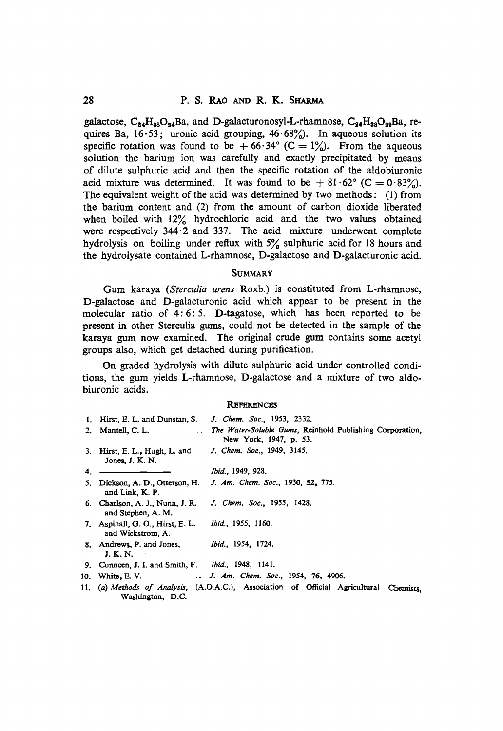galactose,  $C_{24}H_{38}O_{24}Ba$ , and D-galacturonosyl-L-rhamnose,  $C_{24}H_{38}O_{28}Ba$ , requires Ba,  $16.53$ ; uronic acid grouping,  $46.68\%$ ). In aqueous solution its specific rotation was found to be  $+66.34$  (C = 1%). From the aqueous solution the barium ion was carefully and exactly precipitated by means of dilute sulphuric acid and then the specific rotation of the aldobiuronie acid mixture was determined. It was found to be  $+ 81.62$  (C = 0.83%). The equivalent weight of the acid was determined by two methods : (1) from the barium content and (2) from the amount of carbon dioxide liberated when boiled with 12% hydrochloric acid and the two values obtained were respectively 344.2 and 337. The acid mixture underwent complete hydrolysis on boiling under reflux with 5% sulphuric acid for 18 hours and the hydrolysate contained L-rhamnose, D-galactose and D-galacturonic acid.

## **SUMMARY**

Gum karaya *(Sterculia urens* Roxb.) is constituted from L-rhamnose, D-galactose and D-galacturonic acid which appear to be present in the molecular ratio of 4: 6: 5. D-tagatose, which has been reported to be present in other Sterculia gums, could not be detected in the sample of the karaya gum now examined. The original crude gum contains some acetyl groups also, which get detached during purification.

On graded hydrolysis with dilute sulphuric acid under controlled conditions, the gum yields L-rhamnose, D-galactose and a mixture of two aldobiuronic acids.

#### **REFERENCES**

|    | 1. Hirst, E. L. and Dunstan, S.                            | J. Chem. Soc., 1953, 2332.                                                                 |
|----|------------------------------------------------------------|--------------------------------------------------------------------------------------------|
|    | 2. Mantell, C. L.                                          | The Water-Soluble Gums, Reinhold Publishing Corporation,<br>New York, 1947, p. 53.         |
|    | 3. Hirst, E. L., Hugh, L. and<br>Jones, J. K. N.           | J. Chem. Soc., 1949, 3145.                                                                 |
| 4. |                                                            | <i>Ibid.</i> , 1949, 928.                                                                  |
|    | 5. Dickson, A. D., Otterson, H.<br>and Link, K. P.         | J. Am. Chem. Soc., 1930, 52, 775.                                                          |
|    | 6. Charlson, A. J., Nunn, J. R.<br>and Stephen, A. M.      | J. Chem. Soc., 1955, 1428.                                                                 |
|    | 7. Aspinall, G. O., Hirst, E. L.<br>and Wickstrom, A.      | <i>Ibid.,</i> 1955, 1160.                                                                  |
|    | 8. Andrews, P. and Jones,<br>J. K. N.                      | <i>Ibid.,</i> 1954, 1724.                                                                  |
|    | 9. Cunneen, J. I. and Smith, F. <i>Ibid.</i> , 1948, 1141. |                                                                                            |
|    |                                                            | 10. White, E. V. J. Am. Chem. Soc., 1954, 76, 4906.                                        |
|    | Washington, D.C.                                           | 11. (a) Methods of Analysis, (A.O.A.C.), Association of Official Agricultural<br>Chemists. |